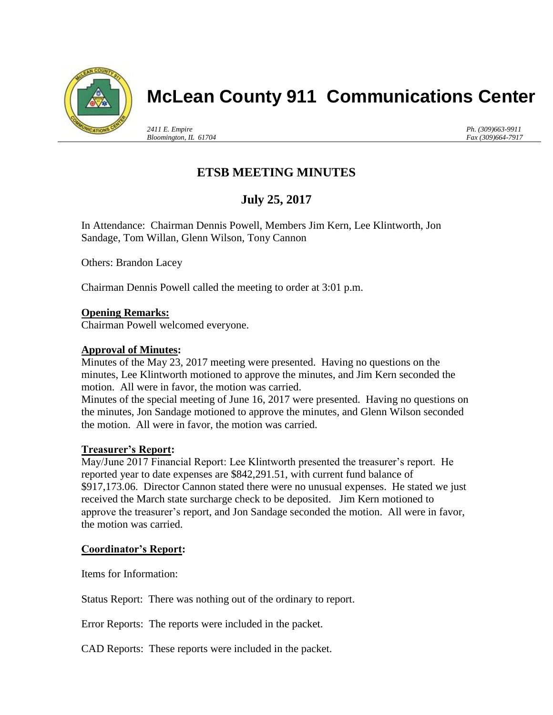

# **McLean County 911 Communications Center**

*2411 E. Empire Bloomington, IL 61704* *Ph. (309)663-9911 Fax (309)664-7917*

## **ETSB MEETING MINUTES**

## **July 25, 2017**

In Attendance: Chairman Dennis Powell, Members Jim Kern, Lee Klintworth, Jon Sandage, Tom Willan, Glenn Wilson, Tony Cannon

Others: Brandon Lacey

Chairman Dennis Powell called the meeting to order at 3:01 p.m.

### **Opening Remarks:**

Chairman Powell welcomed everyone.

### **Approval of Minutes:**

Minutes of the May 23, 2017 meeting were presented. Having no questions on the minutes, Lee Klintworth motioned to approve the minutes, and Jim Kern seconded the motion. All were in favor, the motion was carried.

Minutes of the special meeting of June 16, 2017 were presented. Having no questions on the minutes, Jon Sandage motioned to approve the minutes, and Glenn Wilson seconded the motion. All were in favor, the motion was carried.

### **Treasurer's Report:**

May/June 2017 Financial Report: Lee Klintworth presented the treasurer's report. He reported year to date expenses are \$842,291.51, with current fund balance of \$917,173.06. Director Cannon stated there were no unusual expenses. He stated we just received the March state surcharge check to be deposited. Jim Kern motioned to approve the treasurer's report, and Jon Sandage seconded the motion. All were in favor, the motion was carried.

### **Coordinator's Report:**

Items for Information:

Status Report: There was nothing out of the ordinary to report.

Error Reports: The reports were included in the packet.

CAD Reports: These reports were included in the packet.